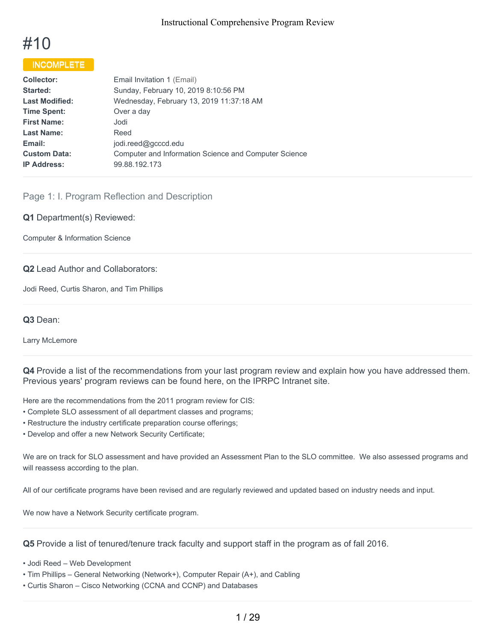# #10

# **INCOMPLETE**

| <b>Collector:</b>     | Email Invitation 1 (Email)                            |
|-----------------------|-------------------------------------------------------|
| <b>Started:</b>       | Sunday, February 10, 2019 8:10:56 PM                  |
| <b>Last Modified:</b> | Wednesday, February 13, 2019 11:37:18 AM              |
| <b>Time Spent:</b>    | Over a day                                            |
| <b>First Name:</b>    | Jodi                                                  |
| <b>Last Name:</b>     | Reed                                                  |
| Email:                | jodi.reed@gcccd.edu                                   |
| <b>Custom Data:</b>   | Computer and Information Science and Computer Science |
| <b>IP Address:</b>    | 99.88.192.173                                         |
|                       |                                                       |

# Page 1: I. Program Reflection and Description

#### **Q1** Department(s) Reviewed:

Computer & Information Science

#### **Q2** Lead Author and Collaborators:

Jodi Reed, Curtis Sharon, and Tim Phillips

#### **Q3** Dean:

Larry McLemore

**Q4** Provide a list of the recommendations from your last program review and explain how you have addressed them. Previous years' program reviews can be found here, on the IPRPC Intranet site.

Here are the recommendations from the 2011 program review for CIS:

- Complete SLO assessment of all department classes and programs;
- Restructure the industry certificate preparation course offerings;
- Develop and offer a new Network Security Certificate;

We are on track for SLO assessment and have provided an Assessment Plan to the SLO committee. We also assessed programs and will reassess according to the plan.

All of our certificate programs have been revised and are regularly reviewed and updated based on industry needs and input.

We now have a Network Security certificate program.

**Q5** Provide a list of tenured/tenure track faculty and support staff in the program as of fall 2016.

- Jodi Reed Web Development
- Tim Phillips General Networking (Network+), Computer Repair (A+), and Cabling
- Curtis Sharon Cisco Networking (CCNA and CCNP) and Databases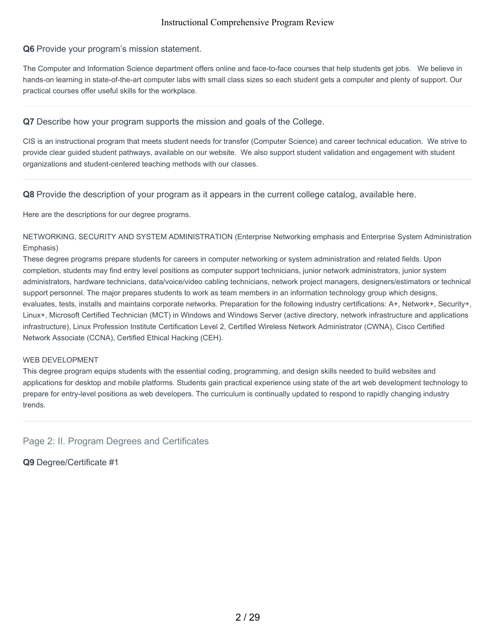#### **Q6** Provide your program's mission statement.

The Computer and Information Science department offers online and face-to-face courses that help students get jobs. We believe in hands-on learning in state-of-the-art computer labs with small class sizes so each student gets a computer and plenty of support. Our practical courses offer useful skills for the workplace.

**Q7** Describe how your program supports the mission and goals of the College.

CIS is an instructional program that meets student needs for transfer (Computer Science) and career technical education. We strive to provide clear guided student pathways, available on our website. We also support student validation and engagement with student organizations and student-centered teaching methods with our classes.

**Q8** Provide the description of your program as it appears in the current college catalog, available here.

Here are the descriptions for our degree programs.

NETWORKING, SECURITY AND SYSTEM ADMINISTRATION (Enterprise Networking emphasis and Enterprise System Administration Emphasis)

These degree programs prepare students for careers in computer networking or system administration and related fields. Upon completion, students may find entry level positions as computer support technicians, junior network administrators, junior system administrators, hardware technicians, data/voice/video cabling technicians, network project managers, designers/estimators or technical support personnel. The major prepares students to work as team members in an information technology group which designs, evaluates, tests, installs and maintains corporate networks. Preparation for the following industry certifications: A+, Network+, Security+, Linux+, Microsoft Certified Technician (MCT) in Windows and Windows Server (active directory, network infrastructure and applications infrastructure), Linux Profession Institute Certification Level 2, Certified Wireless Network Administrator (CWNA), Cisco Certified Network Associate (CCNA), Certified Ethical Hacking (CEH).

#### WEB DEVELOPMENT

This degree program equips students with the essential coding, programming, and design skills needed to build websites and applications for desktop and mobile platforms. Students gain practical experience using state of the art web development technology to prepare for entry-level positions as web developers. The curriculum is continually updated to respond to rapidly changing industry trends.

Page 2: II. Program Degrees and Certificates

**Q9** Degree/Certificate #1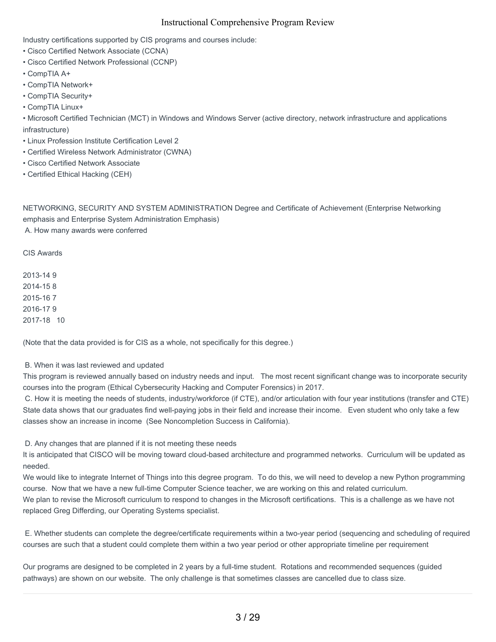Industry certifications supported by CIS programs and courses include:

- Cisco Certified Network Associate (CCNA)
- Cisco Certified Network Professional (CCNP)
- CompTIA A+
- CompTIA Network+
- CompTIA Security+
- CompTIA Linux+

• Microsoft Certified Technician (MCT) in Windows and Windows Server (active directory, network infrastructure and applications infrastructure)

- Linux Profession Institute Certification Level 2
- Certified Wireless Network Administrator (CWNA)
- Cisco Certified Network Associate
- Certified Ethical Hacking (CEH)

NETWORKING, SECURITY AND SYSTEM ADMINISTRATION Degree and Certificate of Achievement (Enterprise Networking emphasis and Enterprise System Administration Emphasis) A. How many awards were conferred

CIS Awards

2013-14 9 2014-15 8 2015-16 7 2016-17 9 2017-18 10

(Note that the data provided is for CIS as a whole, not specifically for this degree.)

B. When it was last reviewed and updated

This program is reviewed annually based on industry needs and input. The most recent significant change was to incorporate security courses into the program (Ethical Cybersecurity Hacking and Computer Forensics) in 2017.

C. How it is meeting the needs of students, industry/workforce (if CTE), and/or articulation with four year institutions (transfer and CTE) State data shows that our graduates find well-paying jobs in their field and increase their income. Even student who only take a few classes show an increase in income (See Noncompletion Success in California).

D. Any changes that are planned if it is not meeting these needs

It is anticipated that CISCO will be moving toward cloud-based architecture and programmed networks. Curriculum will be updated as needed.

We would like to integrate Internet of Things into this degree program. To do this, we will need to develop a new Python programming course. Now that we have a new full-time Computer Science teacher, we are working on this and related curriculum.

We plan to revise the Microsoft curriculum to respond to changes in the Microsoft certifications. This is a challenge as we have not replaced Greg Differding, our Operating Systems specialist.

E. Whether students can complete the degree/certificate requirements within a two-year period (sequencing and scheduling of required courses are such that a student could complete them within a two year period or other appropriate timeline per requirement

Our programs are designed to be completed in 2 years by a full-time student. Rotations and recommended sequences (guided pathways) are shown on our website. The only challenge is that sometimes classes are cancelled due to class size.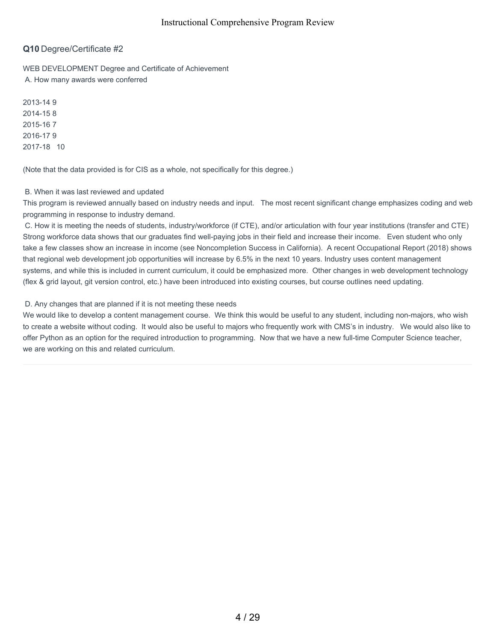## **Q10** Degree/Certificate #2

WEB DEVELOPMENT Degree and Certificate of Achievement A. How many awards were conferred

2013-14 9 2014-15 8 2015-16 7 2016-17 9 2017-18 10

(Note that the data provided is for CIS as a whole, not specifically for this degree.)

#### B. When it was last reviewed and updated

This program is reviewed annually based on industry needs and input. The most recent significant change emphasizes coding and web programming in response to industry demand.

C. How it is meeting the needs of students, industry/workforce (if CTE), and/or articulation with four year institutions (transfer and CTE) Strong workforce data shows that our graduates find well-paying jobs in their field and increase their income. Even student who only take a few classes show an increase in income (see Noncompletion Success in California). A recent Occupational Report (2018) shows that regional web development job opportunities will increase by 6.5% in the next 10 years. Industry uses content management systems, and while this is included in current curriculum, it could be emphasized more. Other changes in web development technology (flex & grid layout, git version control, etc.) have been introduced into existing courses, but course outlines need updating.

#### D. Any changes that are planned if it is not meeting these needs

We would like to develop a content management course. We think this would be useful to any student, including non-majors, who wish to create a website without coding. It would also be useful to majors who frequently work with CMS's in industry. We would also like to offer Python as an option for the required introduction to programming. Now that we have a new full-time Computer Science teacher, we are working on this and related curriculum.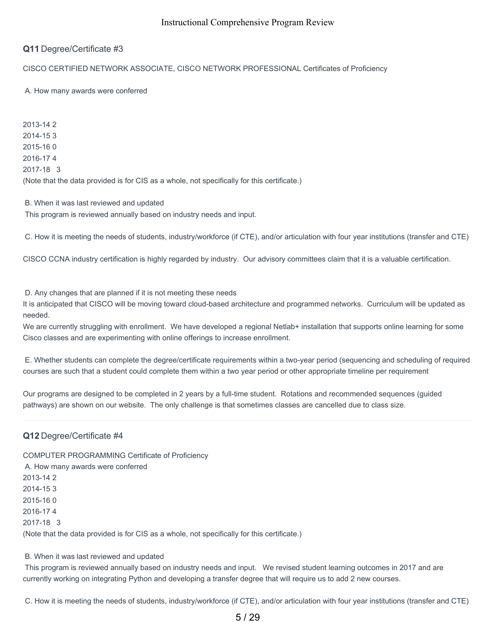## **Q11** Degree/Certificate #3

#### CISCO CERTIFIED NETWORK ASSOCIATE, CISCO NETWORK PROFESSIONAL Certificates of Proficiency

#### A. How many awards were conferred

2013-14 2 2014-15 3 2015-16 0 2016-17 4 2017-18 3 (Note that the data provided is for CIS as a whole, not specifically for this certificate.)

B. When it was last reviewed and updated This program is reviewed annually based on industry needs and input.

C. How it is meeting the needs of students, industry/workforce (if CTE), and/or articulation with four year institutions (transfer and CTE)

CISCO CCNA industry certification is highly regarded by industry. Our advisory committees claim that it is a valuable certification.

D. Any changes that are planned if it is not meeting these needs

It is anticipated that CISCO will be moving toward cloud-based architecture and programmed networks. Curriculum will be updated as needed.

We are currently struggling with enrollment. We have developed a regional Netlab+ installation that supports online learning for some Cisco classes and are experimenting with online offerings to increase enrollment.

E. Whether students can complete the degree/certificate requirements within a two-year period (sequencing and scheduling of required courses are such that a student could complete them within a two year period or other appropriate timeline per requirement

Our programs are designed to be completed in 2 years by a full-time student. Rotations and recommended sequences (guided pathways) are shown on our website. The only challenge is that sometimes classes are cancelled due to class size.

#### **Q12** Degree/Certificate #4

COMPUTER PROGRAMMING Certificate of Proficiency A. How many awards were conferred 2013-14 2 2014-15 3 2015-16 0 2016-17 4 2017-18 3 (Note that the data provided is for CIS as a whole, not specifically for this certificate.)

# B. When it was last reviewed and updated

This program is reviewed annually based on industry needs and input. We revised student learning outcomes in 2017 and are currently working on integrating Python and developing a transfer degree that will require us to add 2 new courses.

C. How it is meeting the needs of students, industry/workforce (if CTE), and/or articulation with four year institutions (transfer and CTE)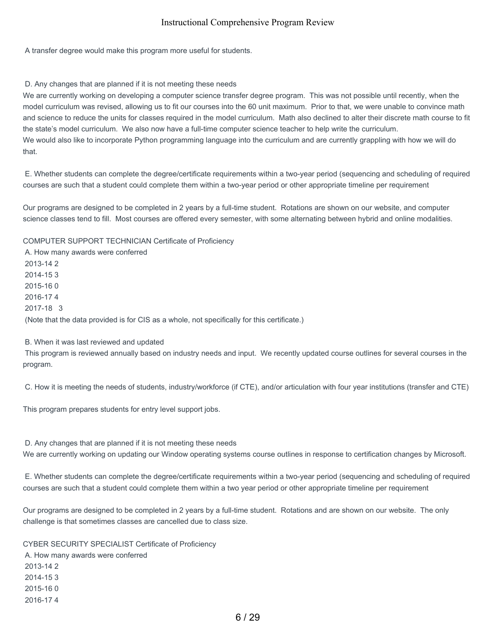A transfer degree would make this program more useful for students.

#### D. Any changes that are planned if it is not meeting these needs

We are currently working on developing a computer science transfer degree program. This was not possible until recently, when the model curriculum was revised, allowing us to fit our courses into the 60 unit maximum. Prior to that, we were unable to convince math and science to reduce the units for classes required in the model curriculum. Math also declined to alter their discrete math course to fit the state's model curriculum. We also now have a full-time computer science teacher to help write the curriculum. We would also like to incorporate Python programming language into the curriculum and are currently grappling with how we will do that.

E. Whether students can complete the degree/certificate requirements within a two-year period (sequencing and scheduling of required courses are such that a student could complete them within a two-year period or other appropriate timeline per requirement

Our programs are designed to be completed in 2 years by a full-time student. Rotations are shown on our website, and computer science classes tend to fill. Most courses are offered every semester, with some alternating between hybrid and online modalities.

COMPUTER SUPPORT TECHNICIAN Certificate of Proficiency

A. How many awards were conferred 2013-14 2 2014-15 3 2015-16 0 2016-17 4 2017-18 3 (Note that the data provided is for CIS as a whole, not specifically for this certificate.)

#### B. When it was last reviewed and updated

This program is reviewed annually based on industry needs and input. We recently updated course outlines for several courses in the program.

C. How it is meeting the needs of students, industry/workforce (if CTE), and/or articulation with four year institutions (transfer and CTE)

This program prepares students for entry level support jobs.

D. Any changes that are planned if it is not meeting these needs We are currently working on updating our Window operating systems course outlines in response to certification changes by Microsoft.

E. Whether students can complete the degree/certificate requirements within a two-year period (sequencing and scheduling of required courses are such that a student could complete them within a two year period or other appropriate timeline per requirement

Our programs are designed to be completed in 2 years by a full-time student. Rotations and are shown on our website. The only challenge is that sometimes classes are cancelled due to class size.

CYBER SECURITY SPECIALIST Certificate of Proficiency A. How many awards were conferred 2013-14 2 2014-15 3 2015-16 0 2016-17 4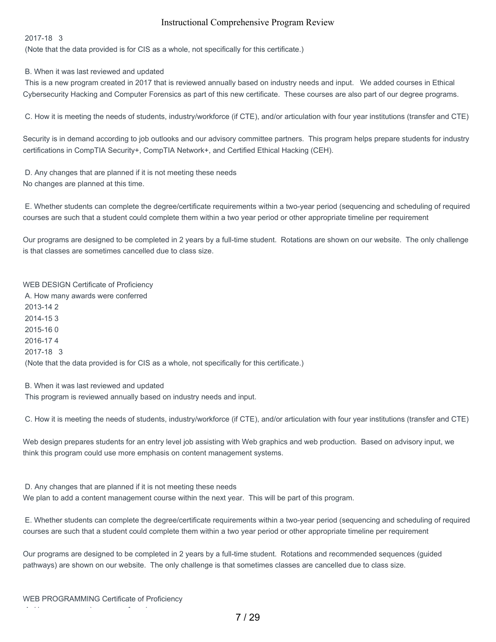2017-18 3

(Note that the data provided is for CIS as a whole, not specifically for this certificate.)

B. When it was last reviewed and updated

This is a new program created in 2017 that is reviewed annually based on industry needs and input. We added courses in Ethical Cybersecurity Hacking and Computer Forensics as part of this new certificate. These courses are also part of our degree programs.

C. How it is meeting the needs of students, industry/workforce (if CTE), and/or articulation with four year institutions (transfer and CTE)

Security is in demand according to job outlooks and our advisory committee partners. This program helps prepare students for industry certifications in CompTIA Security+, CompTIA Network+, and Certified Ethical Hacking (CEH).

D. Any changes that are planned if it is not meeting these needs No changes are planned at this time.

E. Whether students can complete the degree/certificate requirements within a two-year period (sequencing and scheduling of required courses are such that a student could complete them within a two year period or other appropriate timeline per requirement

Our programs are designed to be completed in 2 years by a full-time student. Rotations are shown on our website. The only challenge is that classes are sometimes cancelled due to class size.

WEB DESIGN Certificate of Proficiency A. How many awards were conferred 2013-14 2 2014-15 3 2015-16 0 2016-17 4 2017-18 3 (Note that the data provided is for CIS as a whole, not specifically for this certificate.)

B. When it was last reviewed and updated This program is reviewed annually based on industry needs and input.

C. How it is meeting the needs of students, industry/workforce (if CTE), and/or articulation with four year institutions (transfer and CTE)

Web design prepares students for an entry level job assisting with Web graphics and web production. Based on advisory input, we think this program could use more emphasis on content management systems.

D. Any changes that are planned if it is not meeting these needs We plan to add a content management course within the next year. This will be part of this program.

E. Whether students can complete the degree/certificate requirements within a two-year period (sequencing and scheduling of required courses are such that a student could complete them within a two year period or other appropriate timeline per requirement

Our programs are designed to be completed in 2 years by a full-time student. Rotations and recommended sequences (guided pathways) are shown on our website. The only challenge is that sometimes classes are cancelled due to class size.

A. How many awards were conferred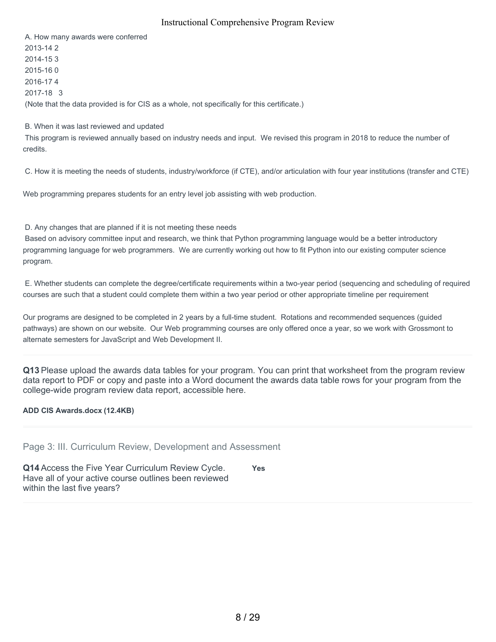A. How many awards were conferred 2013-14 2 2014-15 3 2015-16 0 2016-17 4 2017-18 3 (Note that the data provided is for CIS as a whole, not specifically for this certificate.)

#### B. When it was last reviewed and updated

This program is reviewed annually based on industry needs and input. We revised this program in 2018 to reduce the number of credits.

C. How it is meeting the needs of students, industry/workforce (if CTE), and/or articulation with four year institutions (transfer and CTE)

Web programming prepares students for an entry level job assisting with web production.

#### D. Any changes that are planned if it is not meeting these needs

Based on advisory committee input and research, we think that Python programming language would be a better introductory programming language for web programmers. We are currently working out how to fit Python into our existing computer science program.

E. Whether students can complete the degree/certificate requirements within a two-year period (sequencing and scheduling of required courses are such that a student could complete them within a two year period or other appropriate timeline per requirement

Our programs are designed to be completed in 2 years by a full-time student. Rotations and recommended sequences (guided pathways) are shown on our website. Our Web programming courses are only offered once a year, so we work with Grossmont to alternate semesters for JavaScript and Web Development II.

**Q13** Please upload the awards data tables for your program. You can print that worksheet from the program review data report to PDF or copy and paste into a Word document the awards data table rows for your program from the college-wide program review data report, accessible here.

#### **ADD CIS Awards.docx (12.4KB)**

Page 3: III. Curriculum Review, Development and Assessment

**Q14** Access the Five Year Curriculum Review Cycle. Have all of your active course outlines been reviewed within the last five years?

**Yes**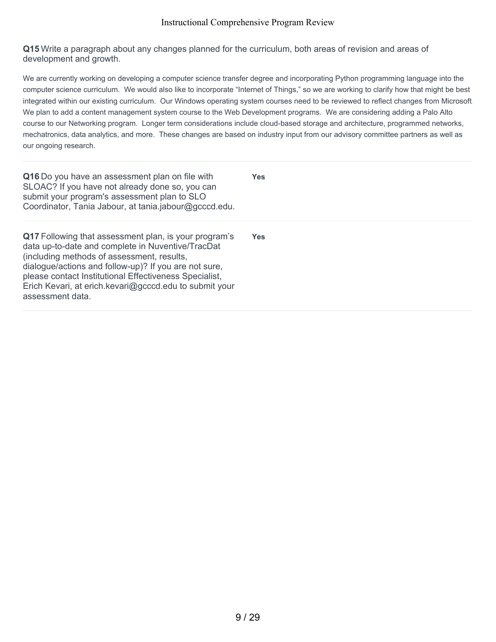**Q15** Write a paragraph about any changes planned for the curriculum, both areas of revision and areas of development and growth.

We are currently working on developing a computer science transfer degree and incorporating Python programming language into the computer science curriculum. We would also like to incorporate "Internet of Things," so we are working to clarify how that might be best integrated within our existing curriculum. Our Windows operating system courses need to be reviewed to reflect changes from Microsoft. We plan to add a content management system course to the Web Development programs. We are considering adding a Palo Alto course to our Networking program. Longer term considerations include cloud-based storage and architecture, programmed networks, mechatronics, data analytics, and more. These changes are based on industry input from our advisory committee partners as well as our ongoing research.

| Q16 Do you have an assessment plan on file with<br>SLOAC? If you have not already done so, you can<br>submit your program's assessment plan to SLO<br>Coordinator, Tania Jabour, at tania.jabour@gcccd.edu.                                                                                                                                               | <b>Yes</b> |
|-----------------------------------------------------------------------------------------------------------------------------------------------------------------------------------------------------------------------------------------------------------------------------------------------------------------------------------------------------------|------------|
| Q17 Following that assessment plan, is your program's<br>data up-to-date and complete in Nuventive/TracDat<br>(including methods of assessment, results,<br>dialogue/actions and follow-up)? If you are not sure,<br>please contact Institutional Effectiveness Specialist,<br>Erich Kevari, at erich.kevari@gcccd.edu to submit your<br>assessment data. | Yes        |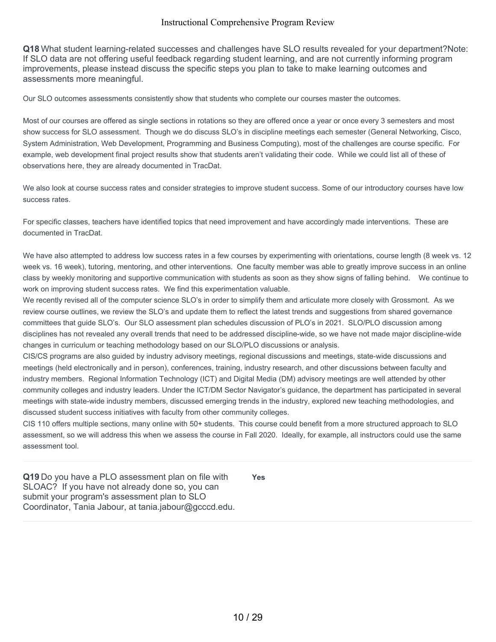**Q18** What student learning-related successes and challenges have SLO results revealed for your department?Note: If SLO data are not offering useful feedback regarding student learning, and are not currently informing program improvements, please instead discuss the specific steps you plan to take to make learning outcomes and assessments more meaningful.

Our SLO outcomes assessments consistently show that students who complete our courses master the outcomes.

Most of our courses are offered as single sections in rotations so they are offered once a year or once every 3 semesters and most show success for SLO assessment. Though we do discuss SLO's in discipline meetings each semester (General Networking, Cisco, System Administration, Web Development, Programming and Business Computing), most of the challenges are course specific. For example, web development final project results show that students aren't validating their code. While we could list all of these of observations here, they are already documented in TracDat.

We also look at course success rates and consider strategies to improve student success. Some of our introductory courses have low success rates.

For specific classes, teachers have identified topics that need improvement and have accordingly made interventions. These are documented in TracDat.

We have also attempted to address low success rates in a few courses by experimenting with orientations, course length (8 week vs. 12 week vs. 16 week), tutoring, mentoring, and other interventions. One faculty member was able to greatly improve success in an online class by weekly monitoring and supportive communication with students as soon as they show signs of falling behind. We continue to work on improving student success rates. We find this experimentation valuable.

We recently revised all of the computer science SLO's in order to simplify them and articulate more closely with Grossmont. As we review course outlines, we review the SLO's and update them to reflect the latest trends and suggestions from shared governance committees that guide SLO's. Our SLO assessment plan schedules discussion of PLO's in 2021. SLO/PLO discussion among disciplines has not revealed any overall trends that need to be addressed discipline-wide, so we have not made major discipline-wide changes in curriculum or teaching methodology based on our SLO/PLO discussions or analysis.

CIS/CS programs are also guided by industry advisory meetings, regional discussions and meetings, state-wide discussions and meetings (held electronically and in person), conferences, training, industry research, and other discussions between faculty and industry members. Regional Information Technology (ICT) and Digital Media (DM) advisory meetings are well attended by other community colleges and industry leaders. Under the ICT/DM Sector Navigator's guidance, the department has participated in several meetings with state-wide industry members, discussed emerging trends in the industry, explored new teaching methodologies, and discussed student success initiatives with faculty from other community colleges.

CIS 110 offers multiple sections, many online with 50+ students. This course could benefit from a more structured approach to SLO assessment, so we will address this when we assess the course in Fall 2020. Ideally, for example, all instructors could use the same assessment tool.

**Q19** Do you have a PLO assessment plan on file with SLOAC? If you have not already done so, you can submit your program's assessment plan to SLO Coordinator, Tania Jabour, at tania.jabour@gcccd.edu.

**Yes**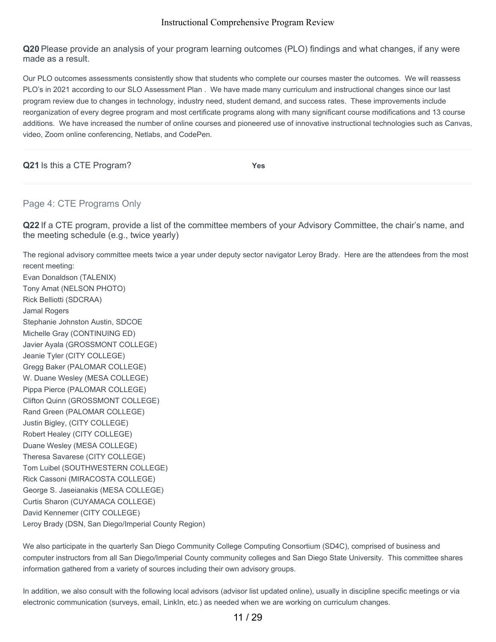**Q20** Please provide an analysis of your program learning outcomes (PLO) findings and what changes, if any were made as a result.

Our PLO outcomes assessments consistently show that students who complete our courses master the outcomes. We will reassess PLO's in 2021 according to our SLO Assessment Plan . We have made many curriculum and instructional changes since our last program review due to changes in technology, industry need, student demand, and success rates. These improvements include reorganization of every degree program and most certificate programs along with many significant course modifications and 13 course additions. We have increased the number of online courses and pioneered use of innovative instructional technologies such as Canvas, video, Zoom online conferencing, Netlabs, and CodePen.

**Q21** Is this a CTE Program? **Yes**

# Page 4: CTE Programs Only

**Q22** If a CTE program, provide a list of the committee members of your Advisory Committee, the chair's name, and the meeting schedule (e.g., twice yearly)

The regional advisory committee meets twice a year under deputy sector navigator Leroy Brady. Here are the attendees from the most recent meeting:

Evan Donaldson (TALENIX) Tony Amat (NELSON PHOTO) Rick Belliotti (SDCRAA) Jamal Rogers Stephanie Johnston Austin, SDCOE Michelle Gray (CONTINUING ED) Javier Ayala (GROSSMONT COLLEGE) Jeanie Tyler (CITY COLLEGE) Gregg Baker (PALOMAR COLLEGE) W. Duane Wesley (MESA COLLEGE) Pippa Pierce (PALOMAR COLLEGE) Clifton Quinn (GROSSMONT COLLEGE) Rand Green (PALOMAR COLLEGE) Justin Bigley, (CITY COLLEGE) Robert Healey (CITY COLLEGE) Duane Wesley (MESA COLLEGE) Theresa Savarese (CITY COLLEGE) Tom Luibel (SOUTHWESTERN COLLEGE) Rick Cassoni (MIRACOSTA COLLEGE) George S. Jaseianakis (MESA COLLEGE) Curtis Sharon (CUYAMACA COLLEGE) David Kennemer (CITY COLLEGE) Leroy Brady (DSN, San Diego/Imperial County Region)

We also participate in the quarterly San Diego Community College Computing Consortium (SD4C), comprised of business and computer instructors from all San Diego/Imperial County community colleges and San Diego State University. This committee shares information gathered from a variety of sources including their own advisory groups.

In addition, we also consult with the following local advisors (advisor list updated online), usually in discipline specific meetings or via electronic communication (surveys, email, LinkIn, etc.) as needed when we are working on curriculum changes.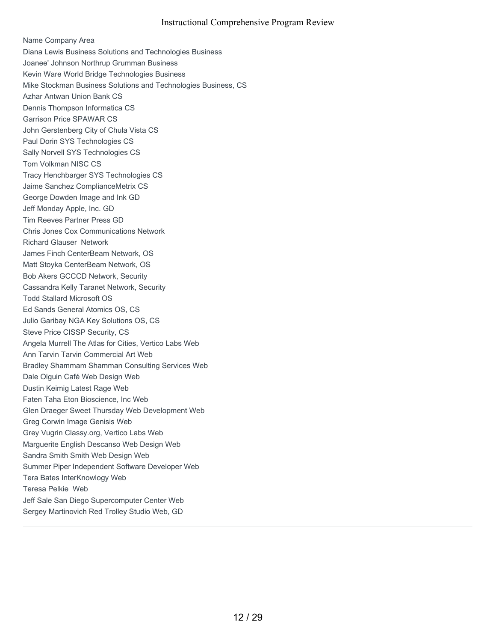Name Company Area Diana Lewis Business Solutions and Technologies Business Joanee' Johnson Northrup Grumman Business Kevin Ware World Bridge Technologies Business Mike Stockman Business Solutions and Technologies Business, CS Azhar Antwan Union Bank CS Dennis Thompson Informatica CS Garrison Price SPAWAR CS John Gerstenberg City of Chula Vista CS Paul Dorin SYS Technologies CS Sally Norvell SYS Technologies CS Tom Volkman NISC CS Tracy Henchbarger SYS Technologies CS Jaime Sanchez ComplianceMetrix CS George Dowden Image and Ink GD Jeff Monday Apple, Inc. GD Tim Reeves Partner Press GD Chris Jones Cox Communications Network Richard Glauser Network James Finch CenterBeam Network, OS Matt Stoyka CenterBeam Network, OS Bob Akers GCCCD Network, Security Cassandra Kelly Taranet Network, Security Todd Stallard Microsoft OS Ed Sands General Atomics OS, CS Julio Garibay NGA Key Solutions OS, CS Steve Price CISSP Security, CS Angela Murrell The Atlas for Cities, Vertico Labs Web Ann Tarvin Tarvin Commercial Art Web Bradley Shammam Shamman Consulting Services Web Dale Olguin Café Web Design Web Dustin Keimig Latest Rage Web Faten Taha Eton Bioscience, Inc Web Glen Draeger Sweet Thursday Web Development Web Greg Corwin Image Genisis Web Grey Vugrin Classy.org, Vertico Labs Web Marguerite English Descanso Web Design Web Sandra Smith Smith Web Design Web Summer Piper Independent Software Developer Web Tera Bates InterKnowlogy Web Teresa Pelkie Web Jeff Sale San Diego Supercomputer Center Web Sergey Martinovich Red Trolley Studio Web, GD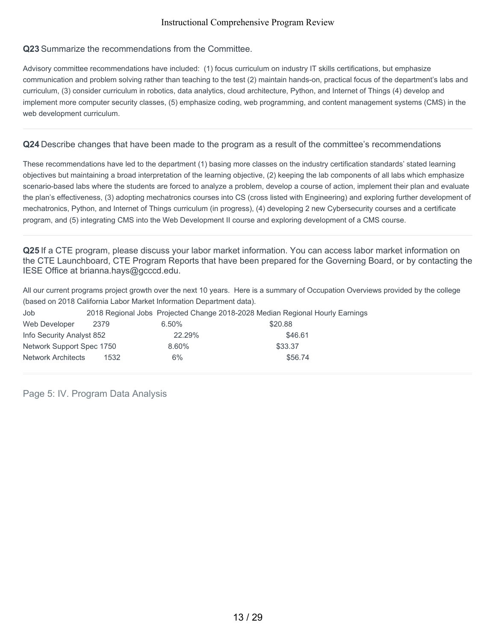# **Q23** Summarize the recommendations from the Committee.

Advisory committee recommendations have included: (1) focus curriculum on industry IT skills certifications, but emphasize communication and problem solving rather than teaching to the test (2) maintain hands-on, practical focus of the department's labs and curriculum, (3) consider curriculum in robotics, data analytics, cloud architecture, Python, and Internet of Things (4) develop and implement more computer security classes, (5) emphasize coding, web programming, and content management systems (CMS) in the web development curriculum.

#### **Q24** Describe changes that have been made to the program as a result of the committee's recommendations

These recommendations have led to the department (1) basing more classes on the industry certification standards' stated learning objectives but maintaining a broad interpretation of the learning objective, (2) keeping the lab components of all labs which emphasize scenario-based labs where the students are forced to analyze a problem, develop a course of action, implement their plan and evaluate the plan's effectiveness, (3) adopting mechatronics courses into CS (cross listed with Engineering) and exploring further development of mechatronics, Python, and Internet of Things curriculum (in progress), (4) developing 2 new Cybersecurity courses and a certificate program, and (5) integrating CMS into the Web Development II course and exploring development of a CMS course.

**Q25** If a CTE program, please discuss your labor market information. You can access labor market information on the CTE Launchboard, CTE Program Reports that have been prepared for the Governing Board, or by contacting the IESE Office at brianna.hays@gcccd.edu.

All our current programs project growth over the next 10 years. Here is a summary of Occupation Overviews provided by the college (based on 2018 California Labor Market Information Department data).

| Job                       |      |          | 2018 Regional Jobs Projected Change 2018-2028 Median Regional Hourly Earnings |
|---------------------------|------|----------|-------------------------------------------------------------------------------|
| Web Developer             | 2379 | $6.50\%$ | \$20.88                                                                       |
| Info Security Analyst 852 |      | 22.29%   | \$46.61                                                                       |
| Network Support Spec 1750 |      | 8.60%    | \$33.37                                                                       |
| <b>Network Architects</b> | 1532 | 6%       | \$56.74                                                                       |

Page 5: IV. Program Data Analysis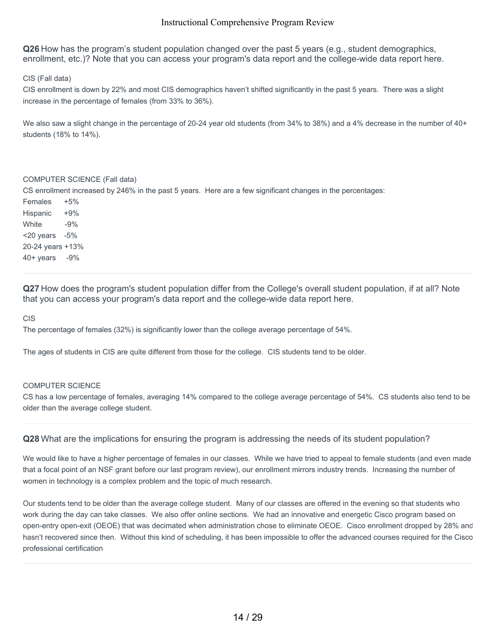**Q26** How has the program's student population changed over the past 5 years (e.g., student demographics, enrollment, etc.)? Note that you can access your program's data report and the college-wide data report here.

CIS (Fall data)

CIS enrollment is down by 22% and most CIS demographics haven't shifted significantly in the past 5 years. There was a slight increase in the percentage of females (from 33% to 36%).

We also saw a slight change in the percentage of 20-24 year old students (from 34% to 38%) and a 4% decrease in the number of 40+ students (18% to 14%).

#### COMPUTER SCIENCE (Fall data)

CS enrollment increased by 246% in the past 5 years. Here are a few significant changes in the percentages:

Females +5% Hispanic +9% White -9% <20 years -5% 20-24 years +13% 40+ years -9%

**Q27** How does the program's student population differ from the College's overall student population, if at all? Note that you can access your program's data report and the college-wide data report here.

CIS

The percentage of females (32%) is significantly lower than the college average percentage of 54%.

The ages of students in CIS are quite different from those for the college. CIS students tend to be older.

#### COMPUTER SCIENCE

CS has a low percentage of females, averaging 14% compared to the college average percentage of 54%. CS students also tend to be older than the average college student.

**Q28** What are the implications for ensuring the program is addressing the needs of its student population?

We would like to have a higher percentage of females in our classes. While we have tried to appeal to female students (and even made that a focal point of an NSF grant before our last program review), our enrollment mirrors industry trends. Increasing the number of women in technology is a complex problem and the topic of much research.

Our students tend to be older than the average college student. Many of our classes are offered in the evening so that students who work during the day can take classes. We also offer online sections. We had an innovative and energetic Cisco program based on open-entry open-exit (OEOE) that was decimated when administration chose to eliminate OEOE. Cisco enrollment dropped by 28% and hasn't recovered since then. Without this kind of scheduling, it has been impossible to offer the advanced courses required for the Cisco professional certification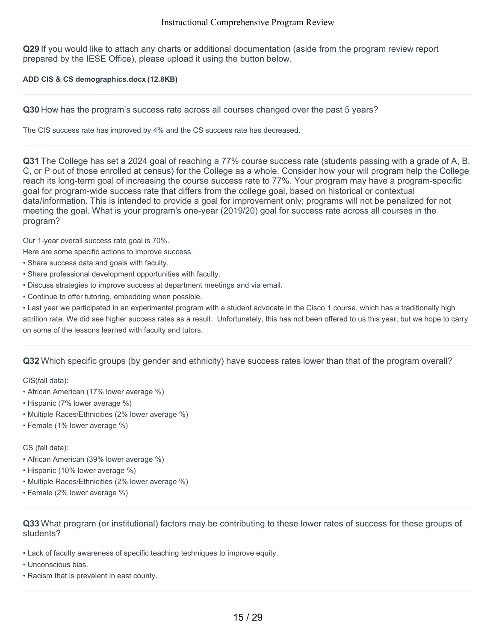**Q29** If you would like to attach any charts or additional documentation (aside from the program review report prepared by the IESE Office), please upload it using the button below.

#### **ADD CIS & CS demographics.docx (12.8KB)**

**Q30** How has the program's success rate across all courses changed over the past 5 years?

The CIS success rate has improved by 4% and the CS success rate has decreased.

**Q31** The College has set a 2024 goal of reaching a 77% course success rate (students passing with a grade of A, B, C, or P out of those enrolled at census) for the College as a whole. Consider how your will program help the College reach its long-term goal of increasing the course success rate to 77%. Your program may have a program-specific goal for program-wide success rate that differs from the college goal, based on historical or contextual data/information. This is intended to provide a goal for improvement only; programs will not be penalized for not meeting the goal. What is your program's one-year (2019/20) goal for success rate across all courses in the program?

Our 1-year overall success rate goal is 70%.

Here are some specific actions to improve success.

- Share success data and goals with faculty.
- Share professional development opportunities with faculty.
- Discuss strategies to improve success at department meetings and via email.
- Continue to offer tutoring, embedding when possible.

• Last year we participated in an experimental program with a student advocate in the Cisco 1 course, which has a traditionally high attrition rate. We did see higher success rates as a result. Unfortunately, this has not been offered to us this year, but we hope to carry on some of the lessons learned with faculty and tutors.

# **Q32** Which specific groups (by gender and ethnicity) have success rates lower than that of the program overall?

CIS(fall data):

- African American (17% lower average %)
- Hispanic (7% lower average %)
- Multiple Races/Ethnicities (2% lower average %)
- Female (1% lower average %)

#### CS (fall data):

- African American (39% lower average %)
- Hispanic (10% lower average %)
- Multiple Races/Ethnicities (2% lower average %)
- Female (2% lower average %)

**Q33** What program (or institutional) factors may be contributing to these lower rates of success for these groups of students?

- Lack of faculty awareness of specific teaching techniques to improve equity.
- Unconscious bias.
- Racism that is prevalent in east county.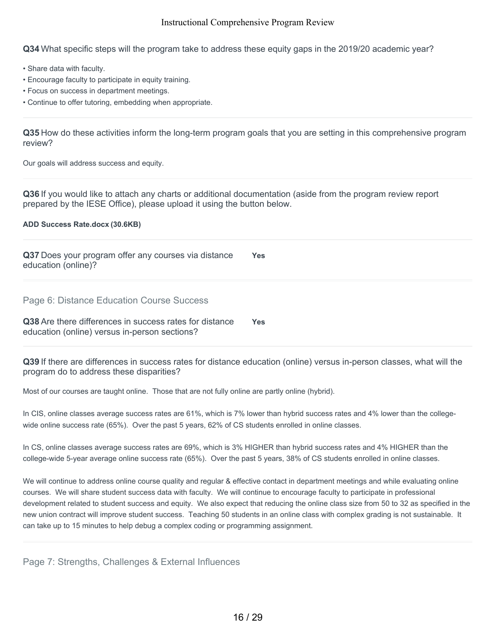**Q34** What specific steps will the program take to address these equity gaps in the 2019/20 academic year?

- Share data with faculty.
- Encourage faculty to participate in equity training.
- Focus on success in department meetings.
- Continue to offer tutoring, embedding when appropriate.

**Q35** How do these activities inform the long-term program goals that you are setting in this comprehensive program review?

Our goals will address success and equity.

**Q36** If you would like to attach any charts or additional documentation (aside from the program review report prepared by the IESE Office), please upload it using the button below.

**ADD Success Rate.docx (30.6KB)**

**Q37** Does your program offer any courses via distance education (online)? **Yes**

Page 6: Distance Education Course Success

**Q38** Are there differences in success rates for distance education (online) versus in-person sections? **Yes**

**Q39** If there are differences in success rates for distance education (online) versus in-person classes, what will the program do to address these disparities?

Most of our courses are taught online. Those that are not fully online are partly online (hybrid).

In CIS, online classes average success rates are 61%, which is 7% lower than hybrid success rates and 4% lower than the collegewide online success rate (65%). Over the past 5 years, 62% of CS students enrolled in online classes.

In CS, online classes average success rates are 69%, which is 3% HIGHER than hybrid success rates and 4% HIGHER than the college-wide 5-year average online success rate (65%). Over the past 5 years, 38% of CS students enrolled in online classes.

We will continue to address online course quality and regular & effective contact in department meetings and while evaluating online courses. We will share student success data with faculty. We will continue to encourage faculty to participate in professional development related to student success and equity. We also expect that reducing the online class size from 50 to 32 as specified in the new union contract will improve student success. Teaching 50 students in an online class with complex grading is not sustainable. It can take up to 15 minutes to help debug a complex coding or programming assignment.

Page 7: Strengths, Challenges & External Influences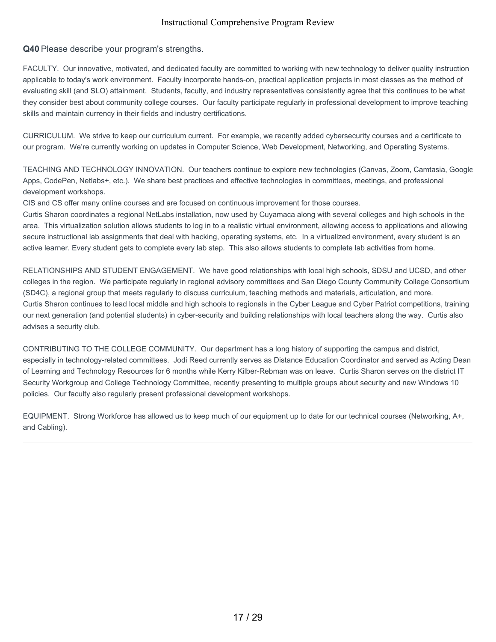## **Q40** Please describe your program's strengths.

FACULTY. Our innovative, motivated, and dedicated faculty are committed to working with new technology to deliver quality instruction applicable to today's work environment. Faculty incorporate hands-on, practical application projects in most classes as the method of evaluating skill (and SLO) attainment. Students, faculty, and industry representatives consistently agree that this continues to be what they consider best about community college courses. Our faculty participate regularly in professional development to improve teaching skills and maintain currency in their fields and industry certifications.

CURRICULUM. We strive to keep our curriculum current. For example, we recently added cybersecurity courses and a certificate to our program. We're currently working on updates in Computer Science, Web Development, Networking, and Operating Systems.

TEACHING AND TECHNOLOGY INNOVATION. Our teachers continue to explore new technologies (Canvas, Zoom, Camtasia, Google Apps, CodePen, Netlabs+, etc.). We share best practices and effective technologies in committees, meetings, and professional development workshops.

CIS and CS offer many online courses and are focused on continuous improvement for those courses.

Curtis Sharon coordinates a regional NetLabs installation, now used by Cuyamaca along with several colleges and high schools in the area. This virtualization solution allows students to log in to a realistic virtual environment, allowing access to applications and allowing secure instructional lab assignments that deal with hacking, operating systems, etc. In a virtualized environment, every student is an active learner. Every student gets to complete every lab step. This also allows students to complete lab activities from home.

RELATIONSHIPS AND STUDENT ENGAGEMENT. We have good relationships with local high schools, SDSU and UCSD, and other colleges in the region. We participate regularly in regional advisory committees and San Diego County Community College Consortium (SD4C), a regional group that meets regularly to discuss curriculum, teaching methods and materials, articulation, and more. Curtis Sharon continues to lead local middle and high schools to regionals in the Cyber League and Cyber Patriot competitions, training our next generation (and potential students) in cyber-security and building relationships with local teachers along the way. Curtis also advises a security club.

CONTRIBUTING TO THE COLLEGE COMMUNITY. Our department has a long history of supporting the campus and district, especially in technology-related committees. Jodi Reed currently serves as Distance Education Coordinator and served as Acting Dean of Learning and Technology Resources for 6 months while Kerry Kilber-Rebman was on leave. Curtis Sharon serves on the district IT Security Workgroup and College Technology Committee, recently presenting to multiple groups about security and new Windows 10 policies. Our faculty also regularly present professional development workshops.

EQUIPMENT. Strong Workforce has allowed us to keep much of our equipment up to date for our technical courses (Networking, A+, and Cabling).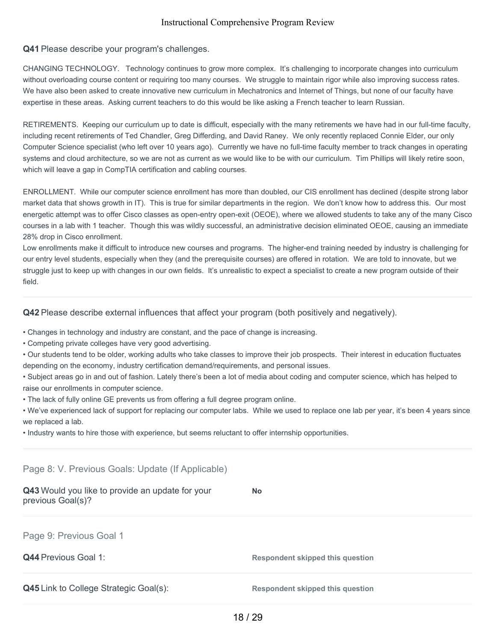## **Q41** Please describe your program's challenges.

CHANGING TECHNOLOGY. Technology continues to grow more complex. It's challenging to incorporate changes into curriculum without overloading course content or requiring too many courses. We struggle to maintain rigor while also improving success rates. We have also been asked to create innovative new curriculum in Mechatronics and Internet of Things, but none of our faculty have expertise in these areas. Asking current teachers to do this would be like asking a French teacher to learn Russian.

RETIREMENTS. Keeping our curriculum up to date is difficult, especially with the many retirements we have had in our full-time faculty, including recent retirements of Ted Chandler, Greg Differding, and David Raney. We only recently replaced Connie Elder, our only Computer Science specialist (who left over 10 years ago). Currently we have no full-time faculty member to track changes in operating systems and cloud architecture, so we are not as current as we would like to be with our curriculum. Tim Phillips will likely retire soon, which will leave a gap in CompTIA certification and cabling courses.

ENROLLMENT. While our computer science enrollment has more than doubled, our CIS enrollment has declined (despite strong labor market data that shows growth in IT). This is true for similar departments in the region. We don't know how to address this. Our most energetic attempt was to offer Cisco classes as open-entry open-exit (OEOE), where we allowed students to take any of the many Cisco courses in a lab with 1 teacher. Though this was wildly successful, an administrative decision eliminated OEOE, causing an immediate 28% drop in Cisco enrollment.

Low enrollments make it difficult to introduce new courses and programs. The higher-end training needed by industry is challenging for our entry level students, especially when they (and the prerequisite courses) are offered in rotation. We are told to innovate, but we struggle just to keep up with changes in our own fields. It's unrealistic to expect a specialist to create a new program outside of their field.

### **Q42** Please describe external influences that affect your program (both positively and negatively).

• Changes in technology and industry are constant, and the pace of change is increasing.

- Competing private colleges have very good advertising.
- Our students tend to be older, working adults who take classes to improve their job prospects. Their interest in education fluctuates depending on the economy, industry certification demand/requirements, and personal issues.

• Subject areas go in and out of fashion. Lately there's been a lot of media about coding and computer science, which has helped to raise our enrollments in computer science.

• The lack of fully online GE prevents us from offering a full degree program online.

• We've experienced lack of support for replacing our computer labs. While we used to replace one lab per year, it's been 4 years since we replaced a lab.

• Industry wants to hire those with experience, but seems reluctant to offer internship opportunities.

# **Q43** Would you like to provide an update for your previous Goal(s)? **No Q44** Previous Goal 1: **Respondent skipped this question Q45** Link to College Strategic Goal(s): **Respondent skipped this question** Page 8: V. Previous Goals: Update (If Applicable) Page 9: Previous Goal 1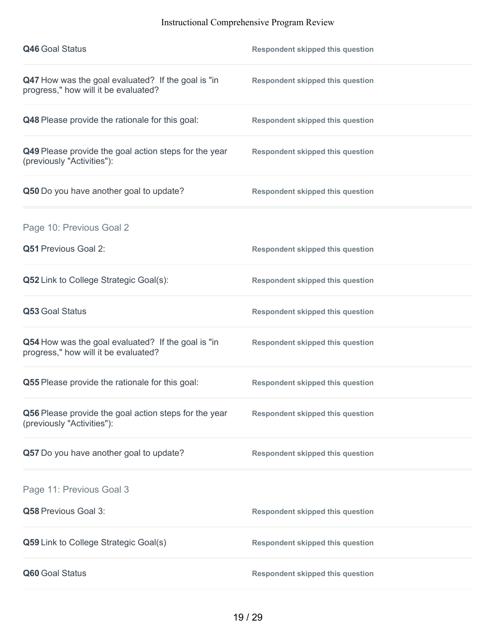| <b>Q46 Goal Status</b>                                                                     | <b>Respondent skipped this question</b> |
|--------------------------------------------------------------------------------------------|-----------------------------------------|
| Q47 How was the goal evaluated? If the goal is "in<br>progress," how will it be evaluated? | <b>Respondent skipped this question</b> |
| Q48 Please provide the rationale for this goal:                                            | <b>Respondent skipped this question</b> |
| Q49 Please provide the goal action steps for the year<br>(previously "Activities"):        | <b>Respondent skipped this question</b> |
| Q50 Do you have another goal to update?                                                    | <b>Respondent skipped this question</b> |
| Page 10: Previous Goal 2                                                                   |                                         |
| Q51 Previous Goal 2:                                                                       | <b>Respondent skipped this question</b> |
| <b>Q52</b> Link to College Strategic Goal(s):                                              | <b>Respondent skipped this question</b> |
| Q53 Goal Status                                                                            | <b>Respondent skipped this question</b> |
| Q54 How was the goal evaluated? If the goal is "in<br>progress," how will it be evaluated? | <b>Respondent skipped this question</b> |
| Q55 Please provide the rationale for this goal:                                            | <b>Respondent skipped this question</b> |
| Q56 Please provide the goal action steps for the year<br>(previously "Activities"):        | <b>Respondent skipped this question</b> |
| Q57 Do you have another goal to update?                                                    | <b>Respondent skipped this question</b> |
| Page 11: Previous Goal 3                                                                   |                                         |
| Q58 Previous Goal 3:                                                                       | <b>Respondent skipped this question</b> |
| Q59 Link to College Strategic Goal(s)                                                      | <b>Respondent skipped this question</b> |
| Q60 Goal Status                                                                            | <b>Respondent skipped this question</b> |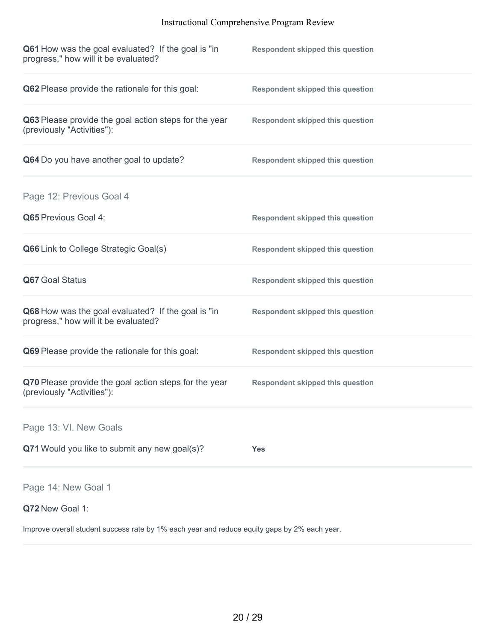| Q61 How was the goal evaluated? If the goal is "in<br>progress," how will it be evaluated? | <b>Respondent skipped this question</b> |
|--------------------------------------------------------------------------------------------|-----------------------------------------|
| Q62 Please provide the rationale for this goal:                                            | <b>Respondent skipped this question</b> |
| Q63 Please provide the goal action steps for the year<br>(previously "Activities"):        | <b>Respondent skipped this question</b> |
| Q64 Do you have another goal to update?                                                    | <b>Respondent skipped this question</b> |
| Page 12: Previous Goal 4                                                                   |                                         |
| <b>Q65</b> Previous Goal 4:                                                                | <b>Respondent skipped this question</b> |
| Q66 Link to College Strategic Goal(s)                                                      | <b>Respondent skipped this question</b> |
| Q67 Goal Status                                                                            | <b>Respondent skipped this question</b> |
| Q68 How was the goal evaluated? If the goal is "in<br>progress," how will it be evaluated? | <b>Respondent skipped this question</b> |
| Q69 Please provide the rationale for this goal:                                            | <b>Respondent skipped this question</b> |
| Q70 Please provide the goal action steps for the year<br>(previously "Activities"):        | <b>Respondent skipped this question</b> |
| Page 13: VI. New Goals                                                                     |                                         |
| Q71 Would you like to submit any new goal(s)?                                              | <b>Yes</b>                              |
| Page 14: New Goal 1                                                                        |                                         |
| Q72 New Goal 1:                                                                            |                                         |

Improve overall student success rate by 1% each year and reduce equity gaps by 2% each year.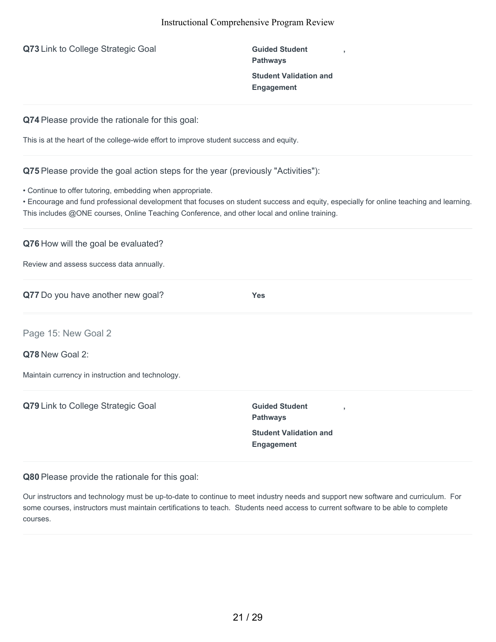**Q73** Link to College Strategic Goal **Guided** Student

**Pathways Student Validation and Engagement**

**,**

**Q74** Please provide the rationale for this goal:

This is at the heart of the college-wide effort to improve student success and equity.

**Q75** Please provide the goal action steps for the year (previously "Activities"):

• Continue to offer tutoring, embedding when appropriate.

• Encourage and fund professional development that focuses on student success and equity, especially for online teaching and learning. This includes @ONE courses, Online Teaching Conference, and other local and online training.

**Q76** How will the goal be evaluated?

Review and assess success data annually.

**Q77** Do you have another new goal? **Yes**

Page 15: New Goal 2

**Q78** New Goal 2:

Maintain currency in instruction and technology.

**Q79** Link to College Strategic Goal **Guided** Student

**Pathways Student Validation and Engagement**

**,**

**Q80** Please provide the rationale for this goal:

Our instructors and technology must be up-to-date to continue to meet industry needs and support new software and curriculum. For some courses, instructors must maintain certifications to teach. Students need access to current software to be able to complete courses.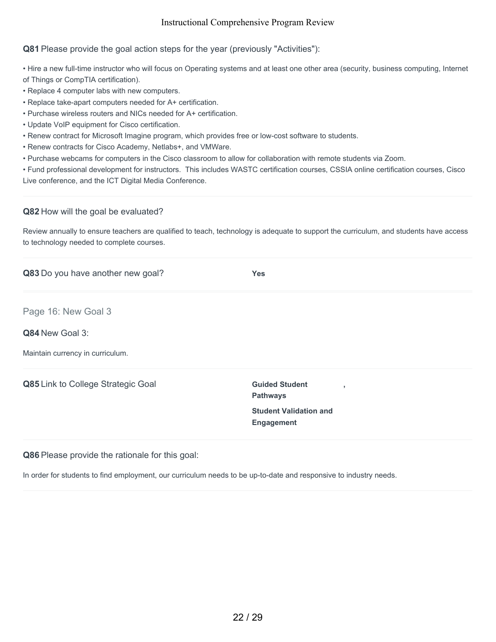# **Q81** Please provide the goal action steps for the year (previously "Activities"):

• Hire a new full-time instructor who will focus on Operating systems and at least one other area (security, business computing, Internet of Things or CompTIA certification).

- Replace 4 computer labs with new computers.
- Replace take-apart computers needed for A+ certification.
- Purchase wireless routers and NICs needed for A+ certification.
- Update VoIP equipment for Cisco certification.
- Renew contract for Microsoft Imagine program, which provides free or low-cost software to students.
- Renew contracts for Cisco Academy, Netlabs+, and VMWare.
- Purchase webcams for computers in the Cisco classroom to allow for collaboration with remote students via Zoom.

• Fund professional development for instructors. This includes WASTC certification courses, CSSIA online certification courses, Cisco Live conference, and the ICT Digital Media Conference.

#### **Q82** How will the goal be evaluated?

Review annually to ensure teachers are qualified to teach, technology is adequate to support the curriculum, and students have access to technology needed to complete courses.

| Q83 Do you have another new goal?  | <b>Yes</b>                                                 |
|------------------------------------|------------------------------------------------------------|
| Page 16: New Goal 3                |                                                            |
| Q84 New Goal 3:                    |                                                            |
| Maintain currency in curriculum.   |                                                            |
| Q85 Link to College Strategic Goal | <b>Guided Student</b><br>$\overline{1}$<br><b>Pathways</b> |
|                                    | <b>Student Validation and</b><br>Engagement                |

**Q86** Please provide the rationale for this goal:

In order for students to find employment, our curriculum needs to be up-to-date and responsive to industry needs.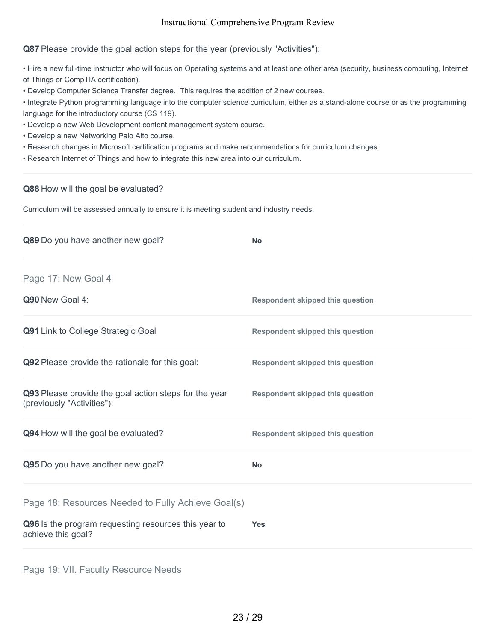**Q87** Please provide the goal action steps for the year (previously "Activities"):

• Hire a new full-time instructor who will focus on Operating systems and at least one other area (security, business computing, Internet of Things or CompTIA certification).

• Develop Computer Science Transfer degree. This requires the addition of 2 new courses.

• Integrate Python programming language into the computer science curriculum, either as a stand-alone course or as the programming language for the introductory course (CS 119).

- Develop a new Web Development content management system course.
- Develop a new Networking Palo Alto course.
- Research changes in Microsoft certification programs and make recommendations for curriculum changes.
- Research Internet of Things and how to integrate this new area into our curriculum.

#### **Q88** How will the goal be evaluated?

Curriculum will be assessed annually to ensure it is meeting student and industry needs.

| Q89 Do you have another new goal?                                                   | <b>No</b>                               |
|-------------------------------------------------------------------------------------|-----------------------------------------|
| Page 17: New Goal 4                                                                 |                                         |
| Q90 New Goal 4:                                                                     | <b>Respondent skipped this question</b> |
| Q91 Link to College Strategic Goal                                                  | <b>Respondent skipped this question</b> |
| Q92 Please provide the rationale for this goal:                                     | <b>Respondent skipped this question</b> |
| Q93 Please provide the goal action steps for the year<br>(previously "Activities"): | <b>Respondent skipped this question</b> |
| Q94 How will the goal be evaluated?                                                 | <b>Respondent skipped this question</b> |
| Q95 Do you have another new goal?                                                   | <b>No</b>                               |
| Page 18: Resources Needed to Fully Achieve Goal(s)                                  |                                         |
| Q96 Is the program requesting resources this year to<br>achieve this goal?          | <b>Yes</b>                              |
|                                                                                     |                                         |

Page 19: VII. Faculty Resource Needs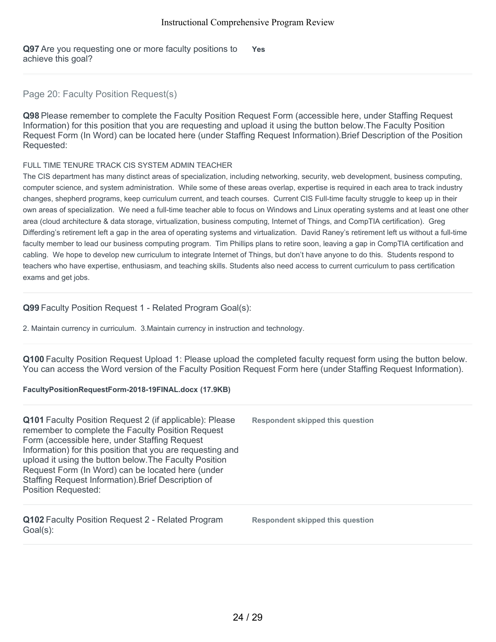**Q97** Are you requesting one or more faculty positions to achieve this goal? **Yes**

# Page 20: Faculty Position Request(s)

**Q98** Please remember to complete the Faculty Position Request Form (accessible here, under Staffing Request Information) for this position that you are requesting and upload it using the button below.The Faculty Position Request Form (In Word) can be located here (under Staffing Request Information).Brief Description of the Position Requested:

#### FULL TIME TENURE TRACK CIS SYSTEM ADMIN TEACHER

The CIS department has many distinct areas of specialization, including networking, security, web development, business computing, computer science, and system administration. While some of these areas overlap, expertise is required in each area to track industry changes, shepherd programs, keep curriculum current, and teach courses. Current CIS Full-time faculty struggle to keep up in their own areas of specialization. We need a full-time teacher able to focus on Windows and Linux operating systems and at least one other area (cloud architecture & data storage, virtualization, business computing, Internet of Things, and CompTIA certification). Greg Differding's retirement left a gap in the area of operating systems and virtualization. David Raney's retirement left us without a full-time faculty member to lead our business computing program. Tim Phillips plans to retire soon, leaving a gap in CompTIA certification and cabling. We hope to develop new curriculum to integrate Internet of Things, but don't have anyone to do this. Students respond to teachers who have expertise, enthusiasm, and teaching skills. Students also need access to current curriculum to pass certification exams and get jobs.

# **Q99** Faculty Position Request 1 - Related Program Goal(s):

2. Maintain currency in curriculum. 3.Maintain currency in instruction and technology.

**Q100** Faculty Position Request Upload 1: Please upload the completed faculty request form using the button below. You can access the Word version of the Faculty Position Request Form here (under Staffing Request Information).

#### **FacultyPositionRequestForm-2018-19FINAL.docx (17.9KB)**

| Q101 Faculty Position Request 2 (if applicable): Please<br>remember to complete the Faculty Position Request<br>Form (accessible here, under Staffing Request<br>Information) for this position that you are requesting and<br>upload it using the button below. The Faculty Position<br>Request Form (In Word) can be located here (under<br>Staffing Request Information). Brief Description of<br><b>Position Requested:</b> | <b>Respondent skipped this question</b> |
|---------------------------------------------------------------------------------------------------------------------------------------------------------------------------------------------------------------------------------------------------------------------------------------------------------------------------------------------------------------------------------------------------------------------------------|-----------------------------------------|
| Q102 Faculty Position Request 2 - Related Program<br>Goal(s):                                                                                                                                                                                                                                                                                                                                                                   | <b>Respondent skipped this question</b> |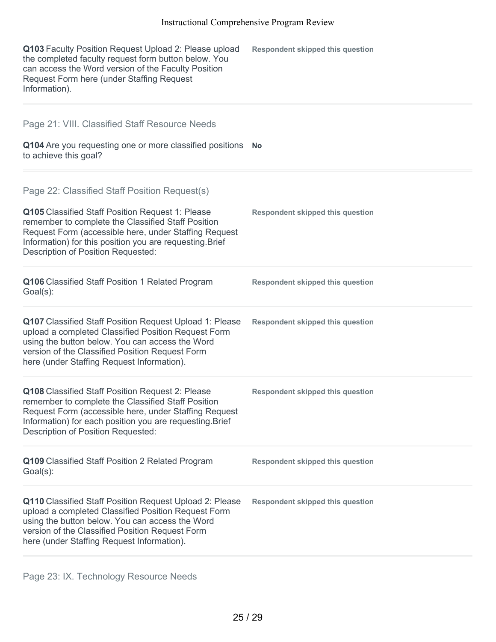| Q103 Faculty Position Request Upload 2: Please upload<br>the completed faculty request form button below. You<br>can access the Word version of the Faculty Position<br>Request Form here (under Staffing Request<br>Information).                                                                                 | <b>Respondent skipped this question</b> |
|--------------------------------------------------------------------------------------------------------------------------------------------------------------------------------------------------------------------------------------------------------------------------------------------------------------------|-----------------------------------------|
| Page 21: VIII. Classified Staff Resource Needs<br>Q104 Are you requesting one or more classified positions<br>to achieve this goal?                                                                                                                                                                                | <b>No</b>                               |
| Page 22: Classified Staff Position Request(s)<br>Q105 Classified Staff Position Request 1: Please<br>remember to complete the Classified Staff Position<br>Request Form (accessible here, under Staffing Request<br>Information) for this position you are requesting. Brief<br>Description of Position Requested: | <b>Respondent skipped this question</b> |
| Q106 Classified Staff Position 1 Related Program<br>Goal(s):                                                                                                                                                                                                                                                       | <b>Respondent skipped this question</b> |
| Q107 Classified Staff Position Request Upload 1: Please<br>upload a completed Classified Position Request Form<br>using the button below. You can access the Word<br>version of the Classified Position Request Form<br>here (under Staffing Request Information).                                                 | <b>Respondent skipped this question</b> |
| Q108 Classified Staff Position Request 2: Please<br>remember to complete the Classified Staff Position<br>Request Form (accessible here, under Staffing Request<br>Information) for each position you are requesting. Brief<br>Description of Position Requested:                                                  | <b>Respondent skipped this question</b> |
| Q109 Classified Staff Position 2 Related Program<br>$Goal(s)$ :                                                                                                                                                                                                                                                    | <b>Respondent skipped this question</b> |
| Q110 Classified Staff Position Request Upload 2: Please<br>upload a completed Classified Position Request Form<br>using the button below. You can access the Word<br>version of the Classified Position Request Form<br>here (under Staffing Request Information).                                                 | <b>Respondent skipped this question</b> |

Page 23: IX. Technology Resource Needs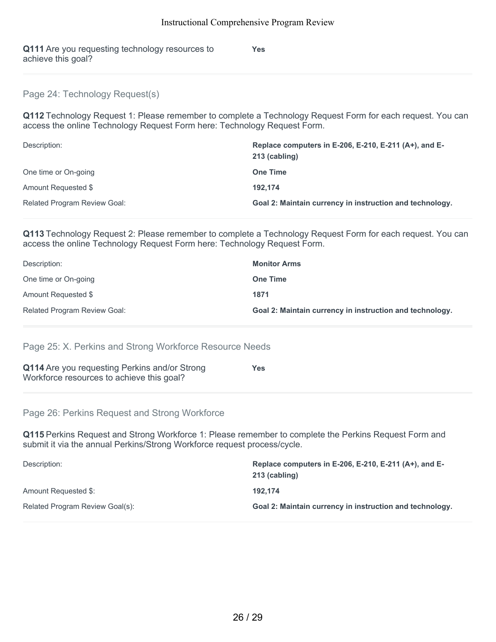**Yes**

**Q111** Are you requesting technology resources to achieve this goal?

## Page 24: Technology Request(s)

**Q112** Technology Request 1: Please remember to complete a Technology Request Form for each request. You can access the online Technology Request Form here: Technology Request Form.

| Description:                        | Replace computers in E-206, E-210, E-211 (A+), and E-<br>213 (cabling) |
|-------------------------------------|------------------------------------------------------------------------|
| One time or On-going                | <b>One Time</b>                                                        |
| Amount Requested \$                 | 192.174                                                                |
| <b>Related Program Review Goal:</b> | Goal 2: Maintain currency in instruction and technology.               |

**Q113** Technology Request 2: Please remember to complete a Technology Request Form for each request. You can access the online Technology Request Form here: Technology Request Form.

| Description:                        | <b>Monitor Arms</b>                                             |
|-------------------------------------|-----------------------------------------------------------------|
| One time or On-going                | <b>One Time</b>                                                 |
| Amount Requested \$                 | 1871                                                            |
| <b>Related Program Review Goal:</b> | <b>Goal 2: Maintain currency in instruction and technology.</b> |

Page 25: X. Perkins and Strong Workforce Resource Needs

| Q114 Are you requesting Perkins and/or Strong | Yes |
|-----------------------------------------------|-----|
| Workforce resources to achieve this goal?     |     |

Page 26: Perkins Request and Strong Workforce

**Q115** Perkins Request and Strong Workforce 1: Please remember to complete the Perkins Request Form and submit it via the annual Perkins/Strong Workforce request process/cycle.

| Description:                    | Replace computers in E-206, E-210, E-211 $(A+)$ , and E-<br>213 (cabling) |
|---------------------------------|---------------------------------------------------------------------------|
| Amount Requested \$:            | 192.174                                                                   |
| Related Program Review Goal(s): | <b>Goal 2: Maintain currency in instruction and technology.</b>           |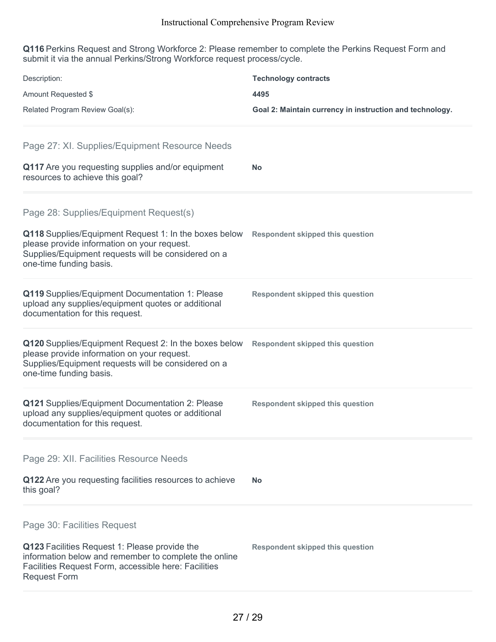**Q116** Perkins Request and Strong Workforce 2: Please remember to complete the Perkins Request Form and submit it via the annual Perkins/Strong Workforce request process/cycle.

| Description:<br>Amount Requested \$<br>Related Program Review Goal(s):                                                                                                                                                           | <b>Technology contracts</b><br>4495<br>Goal 2: Maintain currency in instruction and technology. |
|----------------------------------------------------------------------------------------------------------------------------------------------------------------------------------------------------------------------------------|-------------------------------------------------------------------------------------------------|
| Page 27: XI. Supplies/Equipment Resource Needs<br>Q117 Are you requesting supplies and/or equipment<br>resources to achieve this goal?                                                                                           | <b>No</b>                                                                                       |
| Page 28: Supplies/Equipment Request(s)<br>Q118 Supplies/Equipment Request 1: In the boxes below<br>please provide information on your request.<br>Supplies/Equipment requests will be considered on a<br>one-time funding basis. | <b>Respondent skipped this question</b>                                                         |
| Q119 Supplies/Equipment Documentation 1: Please<br>upload any supplies/equipment quotes or additional<br>documentation for this request.                                                                                         | <b>Respondent skipped this question</b>                                                         |
| Q120 Supplies/Equipment Request 2: In the boxes below<br>please provide information on your request.<br>Supplies/Equipment requests will be considered on a<br>one-time funding basis.                                           | <b>Respondent skipped this question</b>                                                         |
| Q121 Supplies/Equipment Documentation 2: Please<br>upload any supplies/equipment quotes or additional<br>documentation for this request.                                                                                         | <b>Respondent skipped this question</b>                                                         |
| Page 29: XII. Facilities Resource Needs<br>Q122 Are you requesting facilities resources to achieve<br>this goal?                                                                                                                 | <b>No</b>                                                                                       |
| Page 30: Facilities Request<br>Q123 Facilities Request 1: Please provide the<br>information below and remember to complete the online<br>Facilities Request Form, accessible here: Facilities<br><b>Request Form</b>             | <b>Respondent skipped this question</b>                                                         |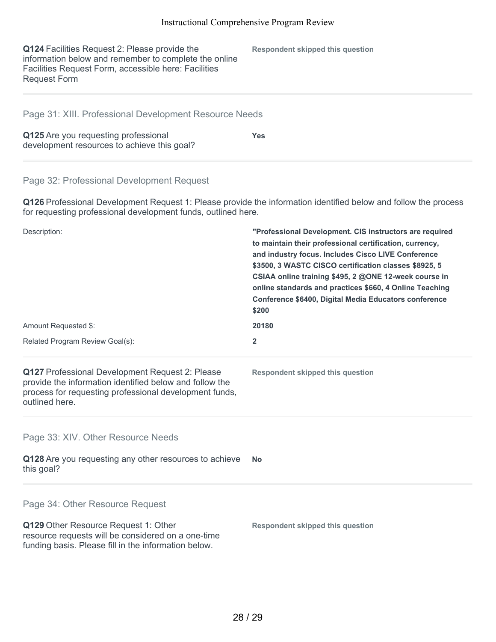**Q124** Facilities Request 2: Please provide the information below and remember to complete the online Facilities Request Form, accessible here: Facilities Request Form

**Respondent skipped this question**

## Page 31: XIII. Professional Development Resource Needs

| Q125 Are you requesting professional        | <b>Yes</b> |  |
|---------------------------------------------|------------|--|
| development resources to achieve this goal? |            |  |

### Page 32: Professional Development Request

**Q126** Professional Development Request 1: Please provide the information identified below and follow the process for requesting professional development funds, outlined here.

| Description:                                                                                                                                                                          | "Professional Development. CIS instructors are required<br>to maintain their professional certification, currency,<br>and industry focus. Includes Cisco LIVE Conference<br>\$3500, 3 WASTC CISCO certification classes \$8925, 5<br>CSIAA online training \$495, 2 @ONE 12-week course in<br>online standards and practices \$660, 4 Online Teaching<br>Conference \$6400, Digital Media Educators conference<br>\$200<br>20180<br>$\overline{2}$ |  |
|---------------------------------------------------------------------------------------------------------------------------------------------------------------------------------------|----------------------------------------------------------------------------------------------------------------------------------------------------------------------------------------------------------------------------------------------------------------------------------------------------------------------------------------------------------------------------------------------------------------------------------------------------|--|
| Amount Requested \$:<br>Related Program Review Goal(s):                                                                                                                               |                                                                                                                                                                                                                                                                                                                                                                                                                                                    |  |
|                                                                                                                                                                                       |                                                                                                                                                                                                                                                                                                                                                                                                                                                    |  |
| Page 33: XIV. Other Resource Needs<br>Q128 Are you requesting any other resources to achieve<br>this goal?                                                                            | No.                                                                                                                                                                                                                                                                                                                                                                                                                                                |  |
| Page 34: Other Resource Request<br>Q129 Other Resource Request 1: Other<br>resource requests will be considered on a one-time<br>funding basis. Please fill in the information below. | <b>Respondent skipped this question</b>                                                                                                                                                                                                                                                                                                                                                                                                            |  |
|                                                                                                                                                                                       |                                                                                                                                                                                                                                                                                                                                                                                                                                                    |  |